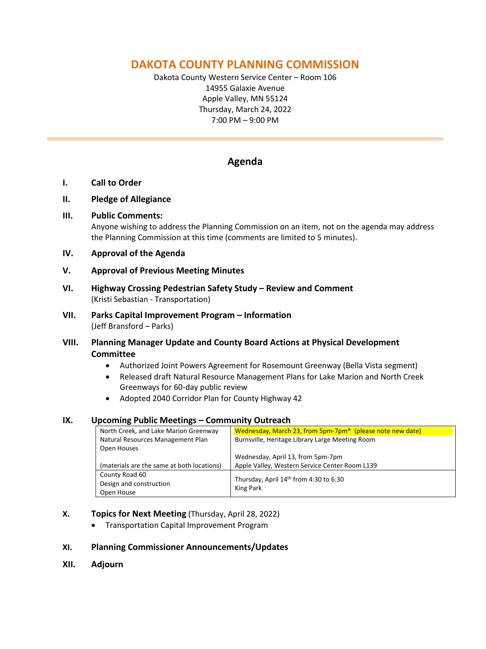# **DAKOTA COUNTY PLANNING COMMISSION**

Dakota County Western Service Center – Room 106 14955 Galaxie Avenue Apple Valley, MN 55124 Thursday, March 24, 2022 7:00 PM – 9:00 PM

# **Agenda**

### **I. Call to Order**

### **II. Pledge of Allegiance**

### **III. Public Comments:**

Anyone wishing to address the Planning Commission on an item, not on the agenda may address the Planning Commission at this time (comments are limited to 5 minutes).

### **IV. Approval of the Agenda**

### **V. Approval of Previous Meeting Minutes**

- **VI. Highway Crossing Pedestrian Safety Study – Review and Comment**  (Kristi Sebastian - Transportation)
- **VII. Parks Capital Improvement Program – Information**  (Jeff Bransford – Parks)
- **VIII. Planning Manager Update and County Board Actions at Physical Development Committee**
	- Authorized Joint Powers Agreement for Rosemount Greenway (Bella Vista segment)
	- Released draft Natural Resource Management Plans for Lake Marion and North Creek Greenways for 60-day public review
	- Adopted 2040 Corridor Plan for County Highway 42

### **IX. Upcoming Public Meetings – Community Outreach**

| North Creek, and Lake Marion Greenway      | Wednesday, March 23, from 5pm-7pm <sup>*</sup> (please note new date) |
|--------------------------------------------|-----------------------------------------------------------------------|
| Natural Resources Management Plan          | Burnsville, Heritage Library Large Meeting Room                       |
| Open Houses                                |                                                                       |
|                                            | Wednesday, April 13, from 5pm-7pm                                     |
| (materials are the same at both locations) | Apple Valley, Western Service Center Room L139                        |
| County Road 60                             |                                                                       |
| Design and construction                    | Thursday, April 14th from 4:30 to 6:30                                |
| Open House                                 | King Park                                                             |

### **X. Topics for Next Meeting** (Thursday, April 28, 2022)

• Transportation Capital Improvement Program

### **XI. Planning Commissioner Announcements/Updates**

**XII. Adjourn**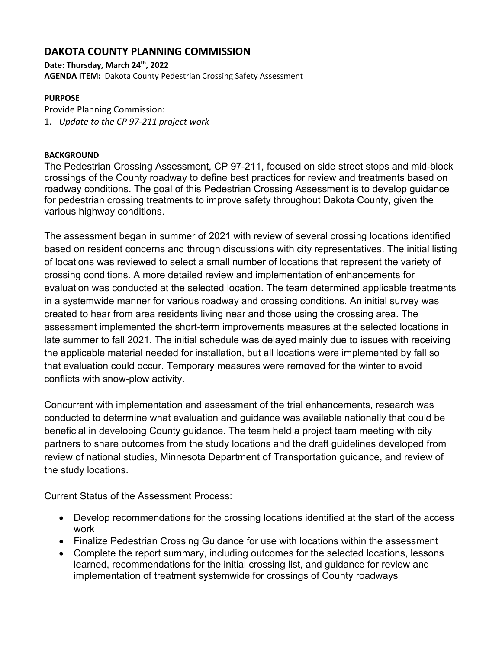# **DAKOTA COUNTY PLANNING COMMISSION**

**Date: Thursday, March 24th, 2022 AGENDA ITEM:** Dakota County Pedestrian Crossing Safety Assessment

### **PURPOSE**

Provide Planning Commission: 1. *Update to the CP 97-211 project work*

### **BACKGROUND**

The Pedestrian Crossing Assessment, CP 97-211, focused on side street stops and mid-block crossings of the County roadway to define best practices for review and treatments based on roadway conditions. The goal of this Pedestrian Crossing Assessment is to develop guidance for pedestrian crossing treatments to improve safety throughout Dakota County, given the various highway conditions.

The assessment began in summer of 2021 with review of several crossing locations identified based on resident concerns and through discussions with city representatives. The initial listing of locations was reviewed to select a small number of locations that represent the variety of crossing conditions. A more detailed review and implementation of enhancements for evaluation was conducted at the selected location. The team determined applicable treatments in a systemwide manner for various roadway and crossing conditions. An initial survey was created to hear from area residents living near and those using the crossing area. The assessment implemented the short-term improvements measures at the selected locations in late summer to fall 2021. The initial schedule was delayed mainly due to issues with receiving the applicable material needed for installation, but all locations were implemented by fall so that evaluation could occur. Temporary measures were removed for the winter to avoid conflicts with snow-plow activity.

Concurrent with implementation and assessment of the trial enhancements, research was conducted to determine what evaluation and guidance was available nationally that could be beneficial in developing County guidance. The team held a project team meeting with city partners to share outcomes from the study locations and the draft guidelines developed from review of national studies, Minnesota Department of Transportation guidance, and review of the study locations.

Current Status of the Assessment Process:

- Develop recommendations for the crossing locations identified at the start of the access work
- Finalize Pedestrian Crossing Guidance for use with locations within the assessment
- Complete the report summary, including outcomes for the selected locations, lessons learned, recommendations for the initial crossing list, and guidance for review and implementation of treatment systemwide for crossings of County roadways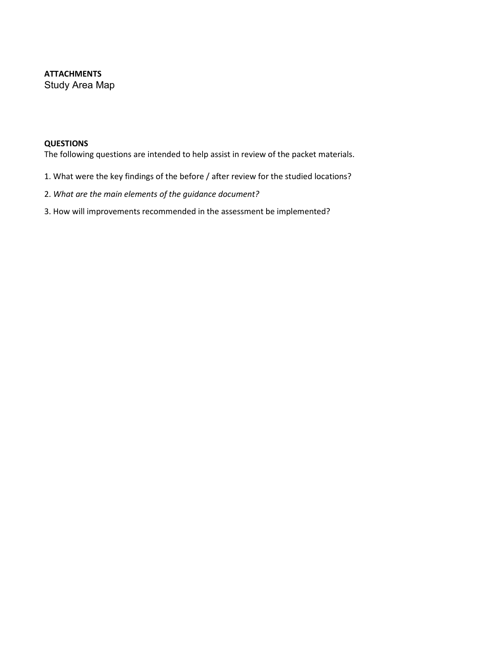### **ATTACHMENTS**  Study Area Map

#### **QUESTIONS**

The following questions are intended to help assist in review of the packet materials.

- 1. What were the key findings of the before / after review for the studied locations?
- 2. *What are the main elements of the guidance document?*
- 3. How will improvements recommended in the assessment be implemented?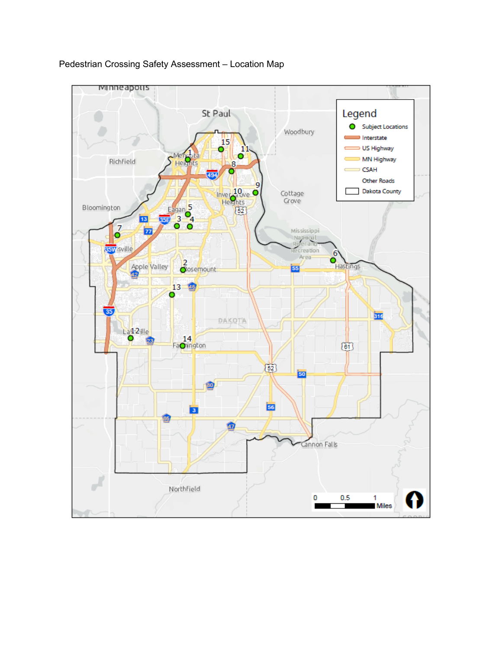

### Pedestrian Crossing Safety Assessment – Location Map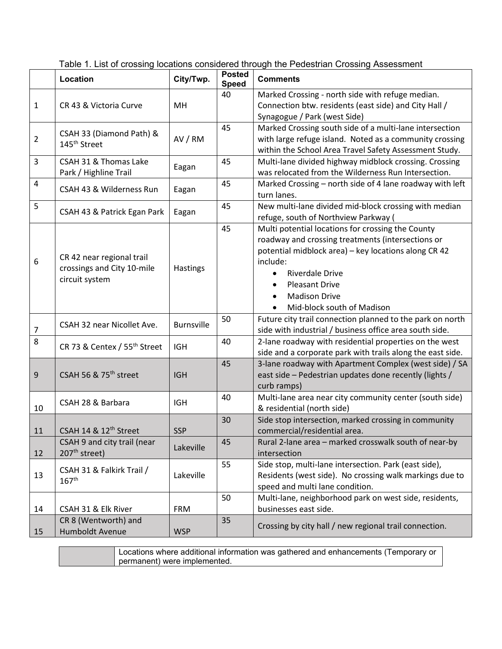|                | Location                                                                  | City/Twp.         | <b>Posted</b><br><b>Speed</b> | <b>Comments</b>                                                                                                                                                                                                                                                                                  |
|----------------|---------------------------------------------------------------------------|-------------------|-------------------------------|--------------------------------------------------------------------------------------------------------------------------------------------------------------------------------------------------------------------------------------------------------------------------------------------------|
| $\mathbf{1}$   | CR 43 & Victoria Curve                                                    | MH                | 40                            | Marked Crossing - north side with refuge median.<br>Connection btw. residents (east side) and City Hall /<br>Synagogue / Park (west Side)                                                                                                                                                        |
| $\overline{2}$ | CSAH 33 (Diamond Path) &<br>145 <sup>th</sup> Street                      | AV / RM           | 45                            | Marked Crossing south side of a multi-lane intersection<br>with large refuge island. Noted as a community crossing<br>within the School Area Travel Safety Assessment Study.                                                                                                                     |
| 3              | CSAH 31 & Thomas Lake<br>Park / Highline Trail                            | Eagan             | 45                            | Multi-lane divided highway midblock crossing. Crossing<br>was relocated from the Wilderness Run Intersection.                                                                                                                                                                                    |
| 4              | CSAH 43 & Wilderness Run                                                  | Eagan             | 45                            | Marked Crossing - north side of 4 lane roadway with left<br>turn lanes.                                                                                                                                                                                                                          |
| 5              | CSAH 43 & Patrick Egan Park                                               | Eagan             | 45                            | New multi-lane divided mid-block crossing with median<br>refuge, south of Northview Parkway (                                                                                                                                                                                                    |
| 6              | CR 42 near regional trail<br>crossings and City 10-mile<br>circuit system | Hastings          | 45                            | Multi potential locations for crossing the County<br>roadway and crossing treatments (intersections or<br>potential midblock area) - key locations along CR 42<br>include:<br><b>Riverdale Drive</b><br><b>Pleasant Drive</b><br><b>Madison Drive</b><br>Mid-block south of Madison<br>$\bullet$ |
| $\overline{7}$ | CSAH 32 near Nicollet Ave.                                                | <b>Burnsville</b> | 50                            | Future city trail connection planned to the park on north<br>side with industrial / business office area south side.                                                                                                                                                                             |
| 8              | CR 73 & Centex / 55 <sup>th</sup> Street                                  | <b>IGH</b>        | 40                            | 2-lane roadway with residential properties on the west<br>side and a corporate park with trails along the east side.                                                                                                                                                                             |
| $9\,$          | CSAH 56 & 75 <sup>th</sup> street                                         | <b>IGH</b>        | 45                            | 3-lane roadway with Apartment Complex (west side) / SA<br>east side - Pedestrian updates done recently (lights /<br>curb ramps)                                                                                                                                                                  |
| 10             | CSAH 28 & Barbara                                                         | <b>IGH</b>        | 40                            | Multi-lane area near city community center (south side)<br>& residential (north side)                                                                                                                                                                                                            |
| 11             | CSAH 14 & 12 <sup>th</sup> Street                                         | <b>SSP</b>        | 30                            | Side stop intersection, marked crossing in community<br>commercial/residential area.                                                                                                                                                                                                             |
| 12             | CSAH 9 and city trail (near<br>207 <sup>th</sup> street)                  | Lakeville         | 45                            | Rural 2-lane area - marked crosswalk south of near-by<br>intersection                                                                                                                                                                                                                            |
| 13             | CSAH 31 & Falkirk Trail /<br>167 <sup>th</sup>                            | Lakeville         | 55                            | Side stop, multi-lane intersection. Park (east side),<br>Residents (west side). No crossing walk markings due to<br>speed and multi lane condition.                                                                                                                                              |
| 14             | CSAH 31 & Elk River                                                       | <b>FRM</b>        | 50                            | Multi-lane, neighborhood park on west side, residents,<br>businesses east side.                                                                                                                                                                                                                  |
| 15             | CR 8 (Wentworth) and<br>Humboldt Avenue                                   | <b>WSP</b>        | 35                            | Crossing by city hall / new regional trail connection.                                                                                                                                                                                                                                           |

Table 1. List of crossing locations considered through the Pedestrian Crossing Assessment

Locations where additional information was gathered and enhancements (Temporary or permanent) were implemented.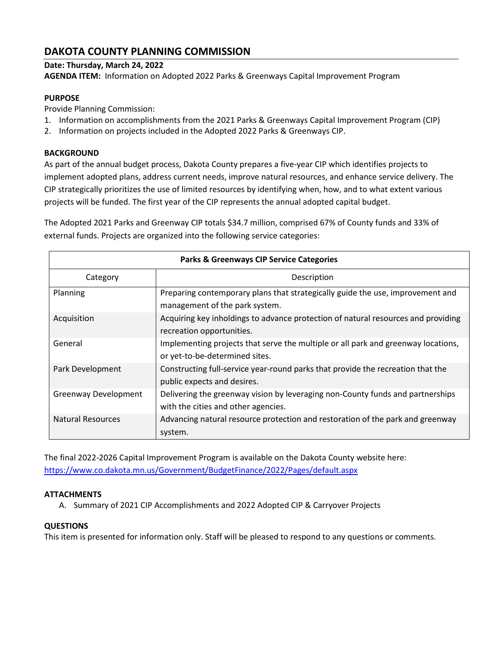# **DAKOTA COUNTY PLANNING COMMISSION**

### **Date: Thursday, March 24, 2022**

**AGENDA ITEM:** Information on Adopted 2022 Parks & Greenways Capital Improvement Program

### **PURPOSE**

Provide Planning Commission:

- 1. Information on accomplishments from the 2021 Parks & Greenways Capital Improvement Program (CIP)
- 2. Information on projects included in the Adopted 2022 Parks & Greenways CIP.

### **BACKGROUND**

As part of the annual budget process, Dakota County prepares a five-year CIP which identifies projects to implement adopted plans, address current needs, improve natural resources, and enhance service delivery. The CIP strategically prioritizes the use of limited resources by identifying when, how, and to what extent various projects will be funded. The first year of the CIP represents the annual adopted capital budget.

The Adopted 2021 Parks and Greenway CIP totals \$34.7 million, comprised 67% of County funds and 33% of external funds. Projects are organized into the following service categories:

| <b>Parks &amp; Greenways CIP Service Categories</b> |                                                                                                                       |  |  |  |
|-----------------------------------------------------|-----------------------------------------------------------------------------------------------------------------------|--|--|--|
| Category                                            | Description                                                                                                           |  |  |  |
| Planning                                            | Preparing contemporary plans that strategically guide the use, improvement and<br>management of the park system.      |  |  |  |
| Acquisition                                         | Acquiring key inholdings to advance protection of natural resources and providing<br>recreation opportunities.        |  |  |  |
| General                                             | Implementing projects that serve the multiple or all park and greenway locations,<br>or yet-to-be-determined sites.   |  |  |  |
| Park Development                                    | Constructing full-service year-round parks that provide the recreation that the<br>public expects and desires.        |  |  |  |
| <b>Greenway Development</b>                         | Delivering the greenway vision by leveraging non-County funds and partnerships<br>with the cities and other agencies. |  |  |  |
| Natural Resources                                   | Advancing natural resource protection and restoration of the park and greenway<br>system.                             |  |  |  |

The final 2022-2026 Capital Improvement Program is available on the Dakota County website here: <https://www.co.dakota.mn.us/Government/BudgetFinance/2022/Pages/default.aspx>

### **ATTACHMENTS**

A. Summary of 2021 CIP Accomplishments and 2022 Adopted CIP & Carryover Projects

### **QUESTIONS**

This item is presented for information only. Staff will be pleased to respond to any questions or comments.